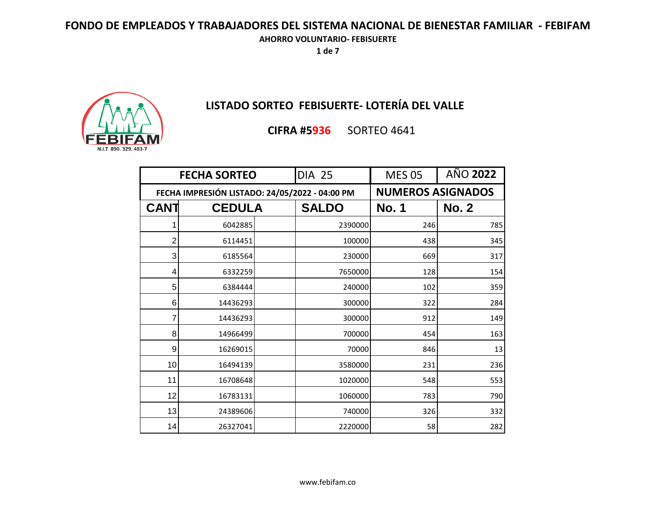**1 de 7**



# **LISTADO SORTEO FEBISUERTE- LOTERÍA DEL VALLE**

**CIFRA #5936** SORTEO 4641

| <b>FECHA SORTEO</b>                            |               | <b>DIA 25</b> | <b>MES 05</b> | AÑO 2022                 |              |
|------------------------------------------------|---------------|---------------|---------------|--------------------------|--------------|
| FECHA IMPRESIÓN LISTADO: 24/05/2022 - 04:00 PM |               |               |               | <b>NUMEROS ASIGNADOS</b> |              |
| <b>CANT</b>                                    | <b>CEDULA</b> |               | <b>SALDO</b>  | <b>No. 1</b>             | <b>No. 2</b> |
| 1                                              | 6042885       |               | 2390000       | 246                      | 785          |
| 2                                              | 6114451       |               | 100000        | 438                      | 345          |
| 3                                              | 6185564       |               | 230000        | 669                      | 317          |
| 4                                              | 6332259       |               | 7650000       | 128                      | 154          |
| 5                                              | 6384444       |               | 240000        | 102                      | 359          |
| 6                                              | 14436293      |               | 300000        | 322                      | 284          |
| 7                                              | 14436293      |               | 300000        | 912                      | 149          |
| 8                                              | 14966499      |               | 700000        | 454                      | 163          |
| 9                                              | 16269015      |               | 70000         | 846                      | 13           |
| 10                                             | 16494139      |               | 3580000       | 231                      | 236          |
| 11                                             | 16708648      |               | 1020000       | 548                      | 553          |
| 12                                             | 16783131      |               | 1060000       | 783                      | 790          |
| 13                                             | 24389606      |               | 740000        | 326                      | 332          |
| 14                                             | 26327041      |               | 2220000       | 58                       | 282          |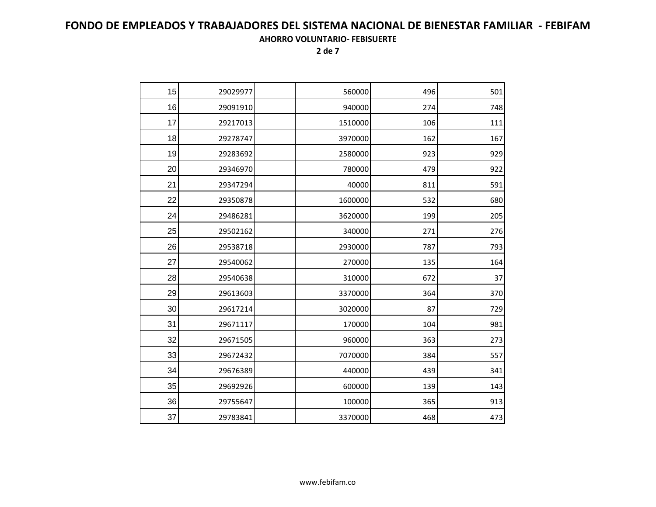| 15 | 29029977 | 560000  | 496 | 501 |
|----|----------|---------|-----|-----|
| 16 | 29091910 | 940000  | 274 | 748 |
| 17 | 29217013 | 1510000 | 106 | 111 |
| 18 | 29278747 | 3970000 | 162 | 167 |
| 19 | 29283692 | 2580000 | 923 | 929 |
| 20 | 29346970 | 780000  | 479 | 922 |
| 21 | 29347294 | 40000   | 811 | 591 |
| 22 | 29350878 | 1600000 | 532 | 680 |
| 24 | 29486281 | 3620000 | 199 | 205 |
| 25 | 29502162 | 340000  | 271 | 276 |
| 26 | 29538718 | 2930000 | 787 | 793 |
| 27 | 29540062 | 270000  | 135 | 164 |
| 28 | 29540638 | 310000  | 672 | 37  |
| 29 | 29613603 | 3370000 | 364 | 370 |
| 30 | 29617214 | 3020000 | 87  | 729 |
| 31 | 29671117 | 170000  | 104 | 981 |
| 32 | 29671505 | 960000  | 363 | 273 |
| 33 | 29672432 | 7070000 | 384 | 557 |
| 34 | 29676389 | 440000  | 439 | 341 |
| 35 | 29692926 | 600000  | 139 | 143 |
| 36 | 29755647 | 100000  | 365 | 913 |
| 37 | 29783841 | 3370000 | 468 | 473 |
|    |          |         |     |     |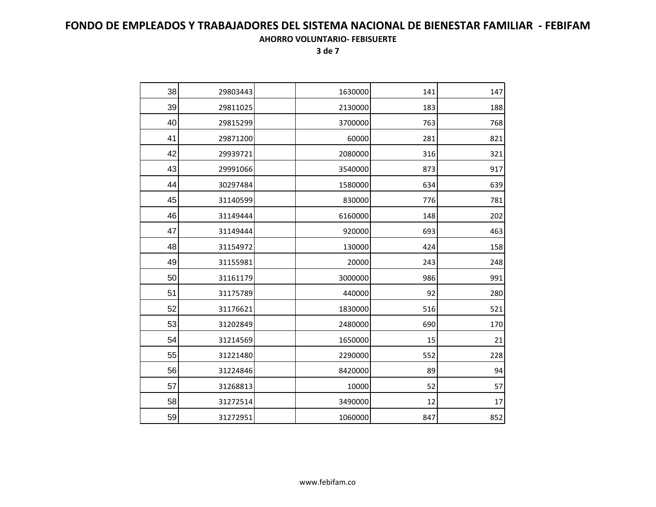| 38 | 29803443 | 1630000 | 141 | 147 |
|----|----------|---------|-----|-----|
| 39 | 29811025 | 2130000 | 183 | 188 |
| 40 | 29815299 | 3700000 | 763 | 768 |
| 41 | 29871200 | 60000   | 281 | 821 |
| 42 | 29939721 | 2080000 | 316 | 321 |
| 43 | 29991066 | 3540000 | 873 | 917 |
| 44 | 30297484 | 1580000 | 634 | 639 |
| 45 | 31140599 | 830000  | 776 | 781 |
| 46 | 31149444 | 6160000 | 148 | 202 |
| 47 | 31149444 | 920000  | 693 | 463 |
| 48 | 31154972 | 130000  | 424 | 158 |
| 49 | 31155981 | 20000   | 243 | 248 |
| 50 | 31161179 | 3000000 | 986 | 991 |
| 51 | 31175789 | 440000  | 92  | 280 |
| 52 | 31176621 | 1830000 | 516 | 521 |
| 53 | 31202849 | 2480000 | 690 | 170 |
| 54 | 31214569 | 1650000 | 15  | 21  |
| 55 | 31221480 | 2290000 | 552 | 228 |
| 56 | 31224846 | 8420000 | 89  | 94  |
| 57 | 31268813 | 10000   | 52  | 57  |
| 58 | 31272514 | 3490000 | 12  | 17  |
| 59 | 31272951 | 1060000 | 847 | 852 |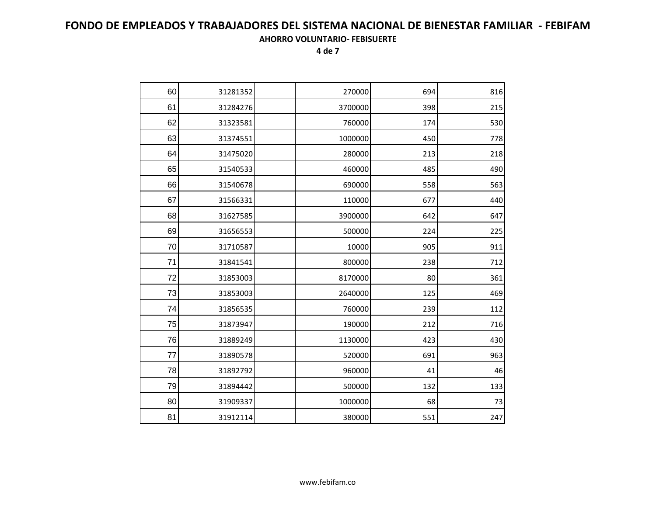| 60<br>31281352<br>270000<br>694<br>61<br>31284276<br>3700000<br>398<br>62<br>31323581<br>760000<br>174<br>63<br>31374551<br>1000000<br>450<br>64<br>31475020<br>280000<br>213<br>65<br>31540533<br>460000<br>485 | 816<br>215<br>530<br>778<br>218<br>490<br>563 |
|------------------------------------------------------------------------------------------------------------------------------------------------------------------------------------------------------------------|-----------------------------------------------|
|                                                                                                                                                                                                                  |                                               |
|                                                                                                                                                                                                                  |                                               |
|                                                                                                                                                                                                                  |                                               |
|                                                                                                                                                                                                                  |                                               |
|                                                                                                                                                                                                                  |                                               |
|                                                                                                                                                                                                                  |                                               |
| 66<br>690000<br>558<br>31540678                                                                                                                                                                                  |                                               |
| 67<br>31566331<br>110000<br>677                                                                                                                                                                                  | 440                                           |
| 68<br>31627585<br>3900000<br>642                                                                                                                                                                                 | 647                                           |
| 69<br>31656553<br>500000<br>224                                                                                                                                                                                  | 225                                           |
| 70<br>31710587<br>10000<br>905                                                                                                                                                                                   | 911                                           |
| 71<br>800000<br>31841541<br>238                                                                                                                                                                                  | 712                                           |
| 72<br>31853003<br>8170000<br>80                                                                                                                                                                                  | 361                                           |
| 73<br>31853003<br>2640000<br>125                                                                                                                                                                                 | 469                                           |
| 74<br>31856535<br>760000<br>239                                                                                                                                                                                  | 112                                           |
| 75<br>31873947<br>190000<br>212                                                                                                                                                                                  | 716                                           |
| 76<br>423<br>31889249<br>1130000                                                                                                                                                                                 | 430                                           |
| 77<br>31890578<br>520000<br>691                                                                                                                                                                                  | 963                                           |
| 78<br>31892792<br>960000<br>41                                                                                                                                                                                   | 46                                            |
| 79<br>132<br>31894442<br>500000                                                                                                                                                                                  | 133                                           |
| 80<br>31909337<br>1000000<br>68                                                                                                                                                                                  | 73                                            |
| 81<br>31912114<br>380000<br>551                                                                                                                                                                                  | 247                                           |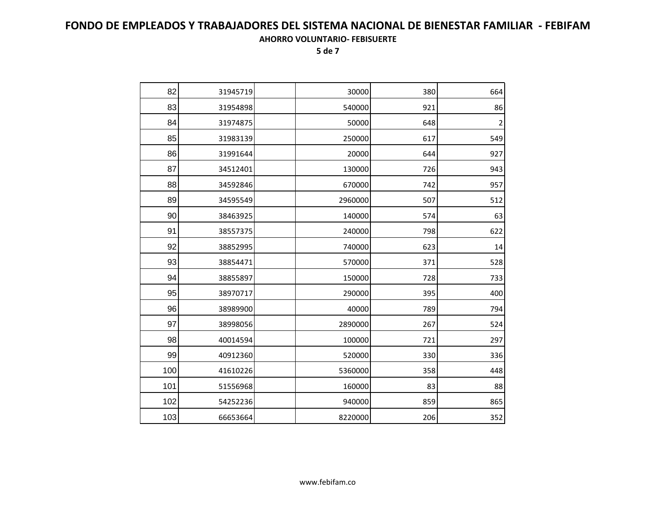| 82  | 31945719 | 30000   | 380 | 664                     |
|-----|----------|---------|-----|-------------------------|
| 83  | 31954898 | 540000  | 921 | 86                      |
| 84  | 31974875 | 50000   | 648 | $\overline{\mathbf{c}}$ |
| 85  | 31983139 | 250000  | 617 | 549                     |
| 86  | 31991644 | 20000   | 644 | 927                     |
| 87  | 34512401 | 130000  | 726 | 943                     |
| 88  | 34592846 | 670000  | 742 | 957                     |
| 89  | 34595549 | 2960000 | 507 | 512                     |
| 90  | 38463925 | 140000  | 574 | 63                      |
| 91  | 38557375 | 240000  | 798 | 622                     |
| 92  | 38852995 | 740000  | 623 | 14                      |
| 93  | 38854471 | 570000  | 371 | 528                     |
| 94  | 38855897 | 150000  | 728 | 733                     |
| 95  | 38970717 | 290000  | 395 | 400                     |
| 96  | 38989900 | 40000   | 789 | 794                     |
| 97  | 38998056 | 2890000 | 267 | 524                     |
| 98  | 40014594 | 100000  | 721 | 297                     |
| 99  | 40912360 | 520000  | 330 | 336                     |
| 100 | 41610226 | 5360000 | 358 | 448                     |
| 101 | 51556968 | 160000  | 83  | 88                      |
| 102 | 54252236 | 940000  | 859 | 865                     |
| 103 | 66653664 | 8220000 | 206 | 352                     |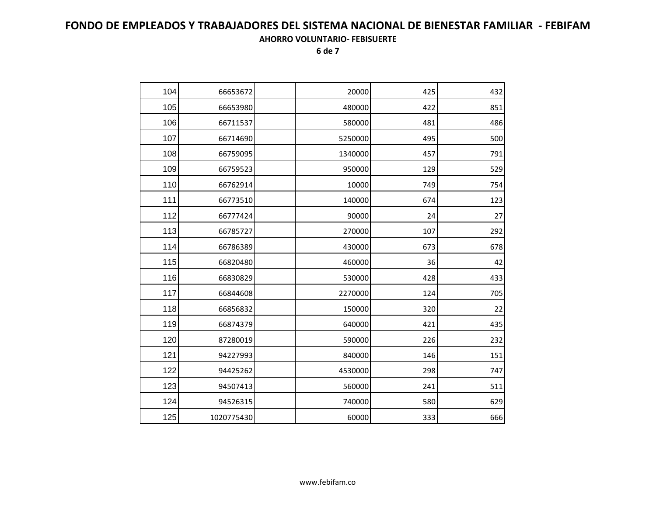| 104 | 66653672   | 20000   | 425 | 432 |
|-----|------------|---------|-----|-----|
| 105 | 66653980   | 480000  | 422 | 851 |
| 106 | 66711537   | 580000  | 481 | 486 |
| 107 | 66714690   | 5250000 | 495 | 500 |
| 108 | 66759095   | 1340000 | 457 | 791 |
| 109 | 66759523   | 950000  | 129 | 529 |
| 110 | 66762914   | 10000   | 749 | 754 |
| 111 | 66773510   | 140000  | 674 | 123 |
| 112 | 66777424   | 90000   | 24  | 27  |
| 113 | 66785727   | 270000  | 107 | 292 |
| 114 | 66786389   | 430000  | 673 | 678 |
| 115 | 66820480   | 460000  | 36  | 42  |
| 116 | 66830829   | 530000  | 428 | 433 |
| 117 | 66844608   | 2270000 | 124 | 705 |
| 118 | 66856832   | 150000  | 320 | 22  |
| 119 | 66874379   | 640000  | 421 | 435 |
| 120 | 87280019   | 590000  | 226 | 232 |
| 121 | 94227993   | 840000  | 146 | 151 |
| 122 | 94425262   | 4530000 | 298 | 747 |
| 123 | 94507413   | 560000  | 241 | 511 |
| 124 | 94526315   | 740000  | 580 | 629 |
| 125 | 1020775430 | 60000   | 333 | 666 |